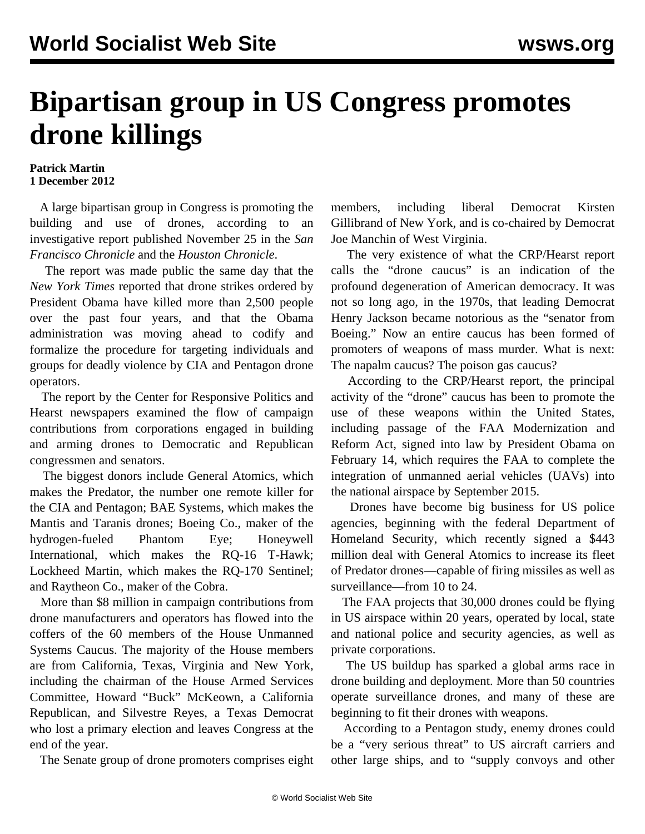## **Bipartisan group in US Congress promotes drone killings**

## **Patrick Martin 1 December 2012**

 A large bipartisan group in Congress is promoting the building and use of drones, according to an investigative report published November 25 in the *San Francisco Chronicle* and the *Houston Chronicle*.

 The report was made public the same day that the *New York Times* reported that drone strikes ordered by President Obama have killed more than 2,500 people over the past four years, and that the Obama administration was moving ahead to codify and formalize the procedure for targeting individuals and groups for deadly violence by CIA and Pentagon drone operators.

 The report by the Center for Responsive Politics and Hearst newspapers examined the flow of campaign contributions from corporations engaged in building and arming drones to Democratic and Republican congressmen and senators.

 The biggest donors include General Atomics, which makes the Predator, the number one remote killer for the CIA and Pentagon; BAE Systems, which makes the Mantis and Taranis drones; Boeing Co., maker of the hydrogen-fueled Phantom Eye; Honeywell International, which makes the RQ-16 T-Hawk; Lockheed Martin, which makes the RQ-170 Sentinel; and Raytheon Co., maker of the Cobra.

 More than \$8 million in campaign contributions from drone manufacturers and operators has flowed into the coffers of the 60 members of the House Unmanned Systems Caucus. The majority of the House members are from California, Texas, Virginia and New York, including the chairman of the House Armed Services Committee, Howard "Buck" McKeown, a California Republican, and Silvestre Reyes, a Texas Democrat who lost a primary election and leaves Congress at the end of the year.

The Senate group of drone promoters comprises eight

members, including liberal Democrat Kirsten Gillibrand of New York, and is co-chaired by Democrat Joe Manchin of West Virginia.

 The very existence of what the CRP/Hearst report calls the "drone caucus" is an indication of the profound degeneration of American democracy. It was not so long ago, in the 1970s, that leading Democrat Henry Jackson became notorious as the "senator from Boeing." Now an entire caucus has been formed of promoters of weapons of mass murder. What is next: The napalm caucus? The poison gas caucus?

 According to the CRP/Hearst report, the principal activity of the "drone" caucus has been to promote the use of these weapons within the United States, including passage of the FAA Modernization and Reform Act, signed into law by President Obama on February 14, which requires the FAA to complete the integration of unmanned aerial vehicles (UAVs) into the national airspace by September 2015.

 Drones have become big business for US police agencies, beginning with the federal Department of Homeland Security, which recently signed a \$443 million deal with General Atomics to increase its fleet of Predator drones—capable of firing missiles as well as surveillance—from 10 to 24.

 The FAA projects that 30,000 drones could be flying in US airspace within 20 years, operated by local, state and national police and security agencies, as well as private corporations.

 The US buildup has sparked a global arms race in drone building and deployment. More than 50 countries operate surveillance drones, and many of these are beginning to fit their drones with weapons.

 According to a Pentagon study, enemy drones could be a "very serious threat" to US aircraft carriers and other large ships, and to "supply convoys and other